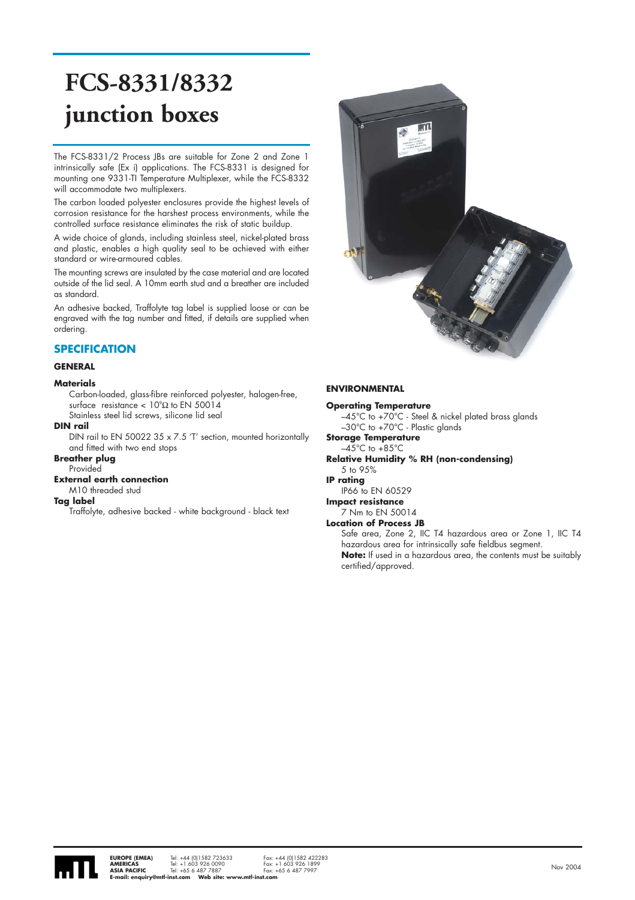# **FCS-8331/8332 junction boxes**

The FCS-8331/2 Process JBs are suitable for Zone 2 and Zone 1 intrinsically safe (Ex i) applications. The FCS-8331 is designed for mounting one 9331-TI Temperature Multiplexer, while the FCS-8332 will accommodate two multiplexers.

The carbon loaded polyester enclosures provide the highest levels of corrosion resistance for the harshest process environments, while the controlled surface resistance eliminates the risk of static buildup.

A wide choice of glands, including stainless steel, nickel-plated brass and plastic, enables a high quality seal to be achieved with either standard or wire-armoured cables.

The mounting screws are insulated by the case material and are located outside of the lid seal. A 10mm earth stud and a breather are included as standard.

An adhesive backed, Traffolyte tag label is supplied loose or can be engraved with the tag number and fitted, if details are supplied when ordering.

## **SPECIFICATION**

#### **GENERAL**

#### **Materials**

Carbon-loaded, glass-fibre reinforced polyester, halogen-free, surface resistance  $< 10^{\circ}$ Ω to EN 50014

Stainless steel lid screws, silicone lid seal

#### **DIN rail**

DIN rail to EN 50022 35 x 7.5 'T' section, mounted horizontally and fitted with two end stops

#### **Breather plug** Provided

## **External earth connection**

M10 threaded stud

## **Tag label**

Traffolyte, adhesive backed - white background - black text



### **ENVIRONMENTAL**

#### **Operating Temperature**

–45°C to +70°C - Steel & nickel plated brass glands –30°C to +70°C - Plastic glands

### **Storage Temperature**

 $-45^{\circ}$ C to  $+85^{\circ}$ C **Relative Humidity % RH (non-condensing)**

#### 5 to 95%

**IP rating** 

#### IP66 to EN 60529 **Impact resistance**

7 Nm to EN 50014

#### **Location of Process JB**

Safe area, Zone 2, IIC T4 hazardous area or Zone 1, IIC T4 hazardous area for intrinsically safe fieldbus segment. **Note:** If used in a hazardous area, the contents must be suitably certified/approved.